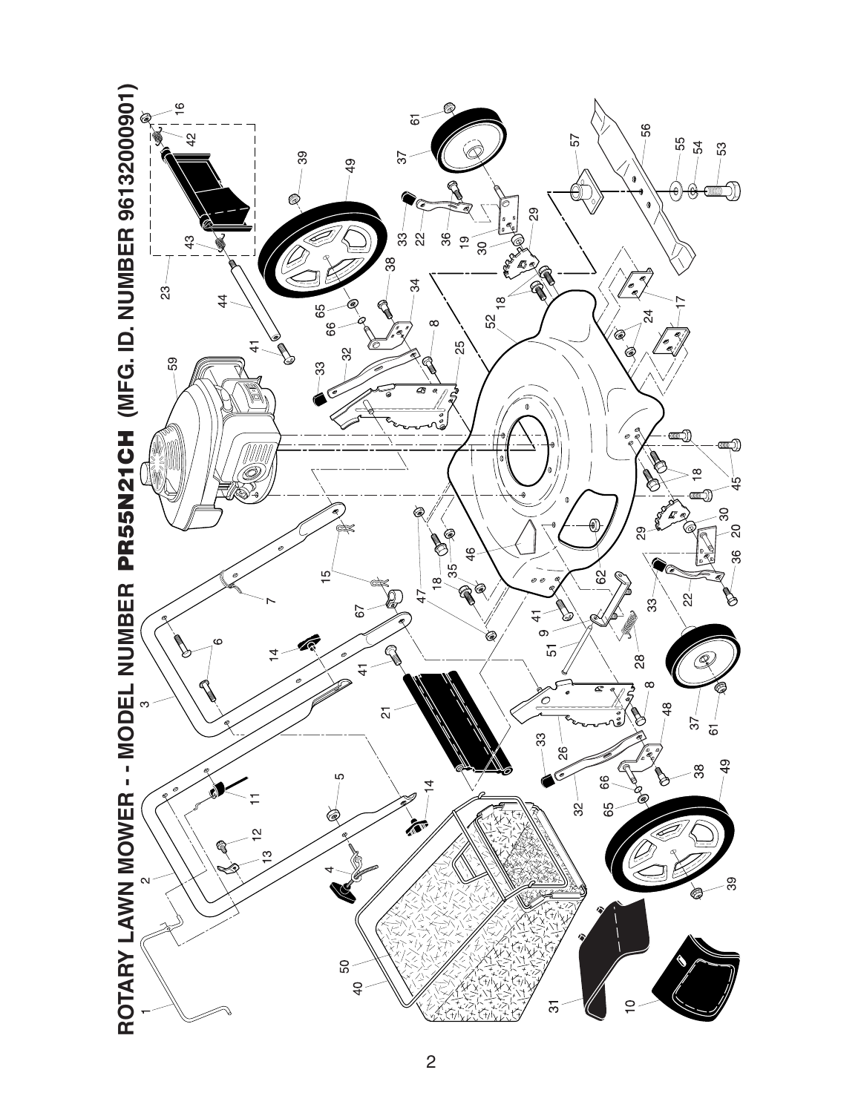